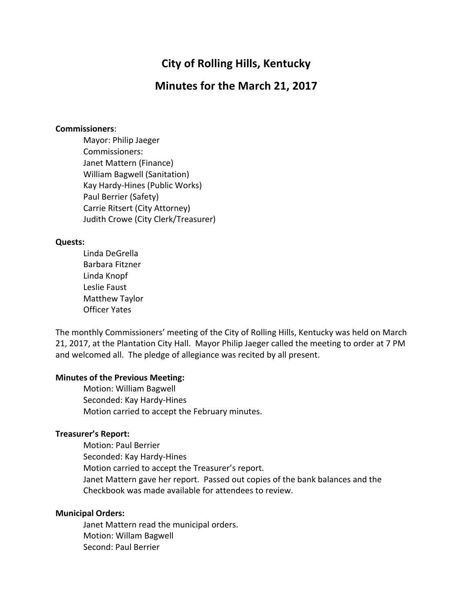# **City of Rolling Hills, Kentucky**

# **Minutes for the March 21, 2017**

#### **Commissioners**:

Mayor: Philip Jaeger Commissioners: Janet Mattern (Finance) William Bagwell (Sanitation) Kay Hardy-Hines (Public Works) Paul Berrier (Safety) Carrie Ritsert (City Attorney) Judith Crowe (City Clerk/Treasurer)

## **Quests:**

Linda DeGrella Barbara Fitzner Linda Knopf Leslie Faust Matthew Taylor Officer Yates

The monthly Commissioners' meeting of the City of Rolling Hills, Kentucky was held on March 21, 2017, at the Plantation City Hall. Mayor Philip Jaeger called the meeting to order at 7 PM and welcomed all. The pledge of allegiance was recited by all present.

## **Minutes of the Previous Meeting:**

Motion: William Bagwell Seconded: Kay Hardy-Hines Motion carried to accept the February minutes.

### **Treasurer's Report:**

Motion: Paul Berrier Seconded: Kay Hardy-Hines Motion carried to accept the Treasurer's report. Janet Mattern gave her report. Passed out copies of the bank balances and the Checkbook was made available for attendees to review.

## **Municipal Orders:**

Janet Mattern read the municipal orders. Motion: Willam Bagwell Second: Paul Berrier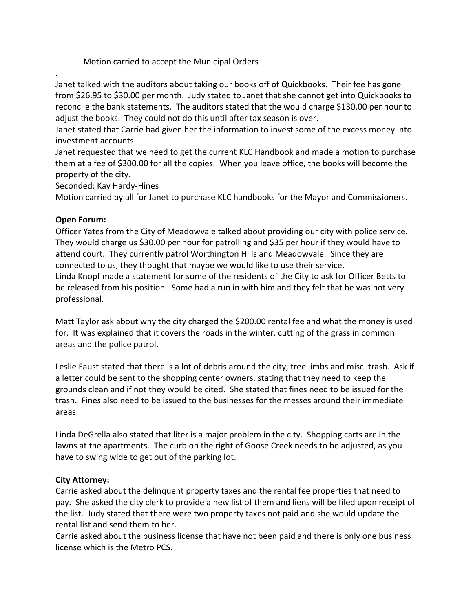Motion carried to accept the Municipal Orders

Janet talked with the auditors about taking our books off of Quickbooks. Their fee has gone from \$26.95 to \$30.00 per month. Judy stated to Janet that she cannot get into Quickbooks to reconcile the bank statements. The auditors stated that the would charge \$130.00 per hour to adjust the books. They could not do this until after tax season is over.

Janet stated that Carrie had given her the information to invest some of the excess money into investment accounts.

Janet requested that we need to get the current KLC Handbook and made a motion to purchase them at a fee of \$300.00 for all the copies. When you leave office, the books will become the property of the city.

Seconded: Kay Hardy-Hines

Motion carried by all for Janet to purchase KLC handbooks for the Mayor and Commissioners.

## **Open Forum:**

.

Officer Yates from the City of Meadowvale talked about providing our city with police service. They would charge us \$30.00 per hour for patrolling and \$35 per hour if they would have to attend court. They currently patrol Worthington Hills and Meadowvale. Since they are connected to us, they thought that maybe we would like to use their service. Linda Knopf made a statement for some of the residents of the City to ask for Officer Betts to be released from his position. Some had a run in with him and they felt that he was not very professional. 

Matt Taylor ask about why the city charged the \$200.00 rental fee and what the money is used for. It was explained that it covers the roads in the winter, cutting of the grass in common areas and the police patrol.

Leslie Faust stated that there is a lot of debris around the city, tree limbs and misc. trash. Ask if a letter could be sent to the shopping center owners, stating that they need to keep the grounds clean and if not they would be cited. She stated that fines need to be issued for the trash. Fines also need to be issued to the businesses for the messes around their immediate areas.

Linda DeGrella also stated that liter is a major problem in the city. Shopping carts are in the lawns at the apartments. The curb on the right of Goose Creek needs to be adjusted, as you have to swing wide to get out of the parking lot.

## **City Attorney:**

Carrie asked about the delinquent property taxes and the rental fee properties that need to pay. She asked the city clerk to provide a new list of them and liens will be filed upon receipt of the list. Judy stated that there were two property taxes not paid and she would update the rental list and send them to her.

Carrie asked about the business license that have not been paid and there is only one business license which is the Metro PCS.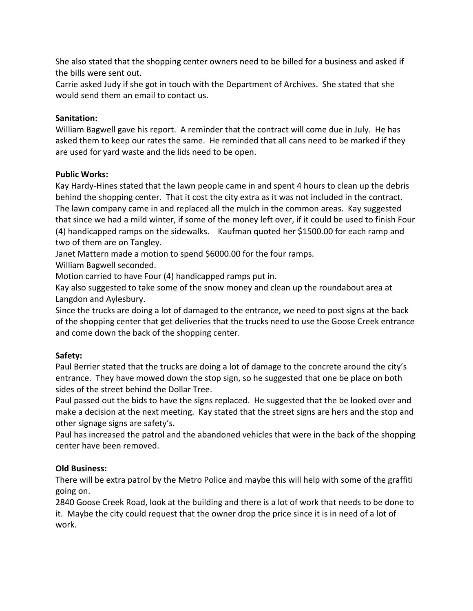She also stated that the shopping center owners need to be billed for a business and asked if the bills were sent out.

Carrie asked Judy if she got in touch with the Department of Archives. She stated that she would send them an email to contact us.

# **Sanitation:**

William Bagwell gave his report. A reminder that the contract will come due in July. He has asked them to keep our rates the same. He reminded that all cans need to be marked if they are used for yard waste and the lids need to be open.

# **Public Works:**

Kay Hardy-Hines stated that the lawn people came in and spent 4 hours to clean up the debris behind the shopping center. That it cost the city extra as it was not included in the contract. The lawn company came in and replaced all the mulch in the common areas. Kay suggested that since we had a mild winter, if some of the money left over, if it could be used to finish Four (4) handicapped ramps on the sidewalks. Kaufman quoted her \$1500.00 for each ramp and two of them are on Tangley.

Janet Mattern made a motion to spend \$6000.00 for the four ramps.

William Bagwell seconded.

Motion carried to have Four (4) handicapped ramps put in.

Kay also suggested to take some of the snow money and clean up the roundabout area at Langdon and Aylesbury.

Since the trucks are doing a lot of damaged to the entrance, we need to post signs at the back of the shopping center that get deliveries that the trucks need to use the Goose Creek entrance and come down the back of the shopping center.

# **Safety:**

Paul Berrier stated that the trucks are doing a lot of damage to the concrete around the city's entrance. They have mowed down the stop sign, so he suggested that one be place on both sides of the street behind the Dollar Tree.

Paul passed out the bids to have the signs replaced. He suggested that the be looked over and make a decision at the next meeting. Kay stated that the street signs are hers and the stop and other signage signs are safety's.

Paul has increased the patrol and the abandoned vehicles that were in the back of the shopping center have been removed.

# **Old Business:**

There will be extra patrol by the Metro Police and maybe this will help with some of the graffiti going on.

2840 Goose Creek Road, look at the building and there is a lot of work that needs to be done to it. Maybe the city could request that the owner drop the price since it is in need of a lot of work.